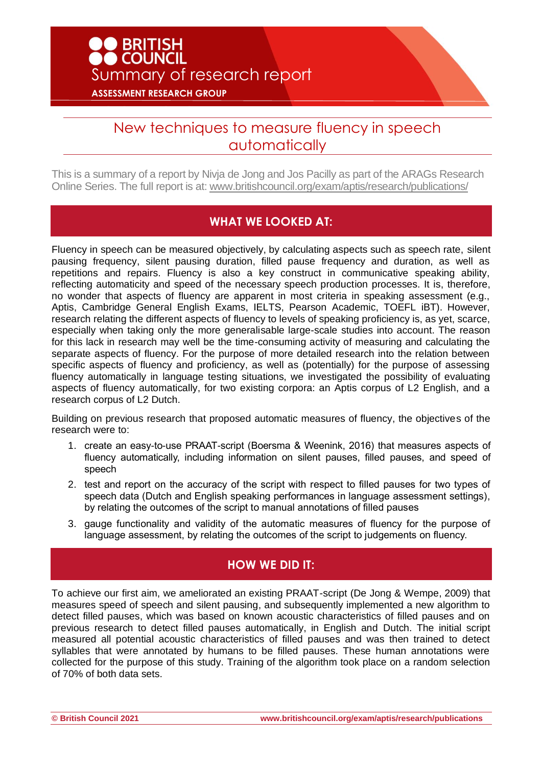# New techniques to measure fluency in speech automatically

This is a summary of a report by Nivja de Jong and Jos Pacilly as part of the ARAGs Research Online Series. The full report is at: www.britishcouncil.org/exam/aptis/research/publications/

### **WHAT WE LOOKED AT:**

Fluency in speech can be measured objectively, by calculating aspects such as speech rate, silent pausing frequency, silent pausing duration, filled pause frequency and duration, as well as repetitions and repairs. Fluency is also a key construct in communicative speaking ability, reflecting automaticity and speed of the necessary speech production processes. It is, therefore, no wonder that aspects of fluency are apparent in most criteria in speaking assessment (e.g., Aptis, Cambridge General English Exams, IELTS, Pearson Academic, TOEFL iBT). However, research relating the different aspects of fluency to levels of speaking proficiency is, as yet, scarce, especially when taking only the more generalisable large-scale studies into account. The reason for this lack in research may well be the time-consuming activity of measuring and calculating the separate aspects of fluency. For the purpose of more detailed research into the relation between specific aspects of fluency and proficiency, as well as (potentially) for the purpose of assessing fluency automatically in language testing situations, we investigated the possibility of evaluating aspects of fluency automatically, for two existing corpora: an Aptis corpus of L2 English, and a research corpus of L2 Dutch.

Building on previous research that proposed automatic measures of fluency, the objectives of the research were to:

- 1. create an easy-to-use PRAAT-script (Boersma & Weenink, 2016) that measures aspects of fluency automatically, including information on silent pauses, filled pauses, and speed of speech
- 2. test and report on the accuracy of the script with respect to filled pauses for two types of speech data (Dutch and English speaking performances in language assessment settings), by relating the outcomes of the script to manual annotations of filled pauses
- 3. gauge functionality and validity of the automatic measures of fluency for the purpose of language assessment, by relating the outcomes of the script to judgements on fluency.

### **HOW WE DID IT:**

To achieve our first aim, we ameliorated an existing PRAAT-script (De Jong & Wempe, 2009) that measures speed of speech and silent pausing, and subsequently implemented a new algorithm to detect filled pauses, which was based on known acoustic characteristics of filled pauses and on previous research to detect filled pauses automatically, in English and Dutch. The initial script measured all potential acoustic characteristics of filled pauses and was then trained to detect syllables that were annotated by humans to be filled pauses. These human annotations were collected for the purpose of this study. Training of the algorithm took place on a random selection of 70% of both data sets.